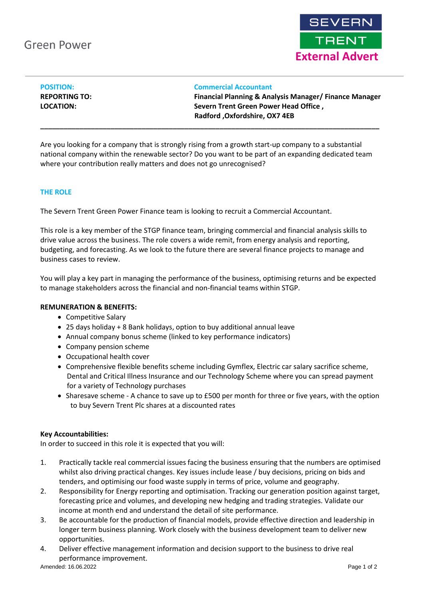

| <b>POSITION:</b>     |  |
|----------------------|--|
| <b>REPORTING TO:</b> |  |
| LOCATION:            |  |

#### **Commercial Accountant**

**Financial Planning & Analysis Manager/ Finance Manager Severn Trent Green Power Head Office, Radford ,Oxfordshire, OX7 4EB**

Are you looking for a company that is strongly rising from a growth start-up company to a substantial national company within the renewable sector? Do you want to be part of an expanding dedicated team where your contribution really matters and does not go unrecognised?

**\_\_\_\_\_\_\_\_\_\_\_\_\_\_\_\_\_\_\_\_\_\_\_\_\_\_\_\_\_\_\_\_\_\_\_\_\_\_\_\_\_\_\_\_\_\_\_\_\_\_\_\_\_\_\_\_\_\_\_\_\_\_\_\_\_\_\_\_\_\_\_\_\_\_\_\_\_\_\_\_\_\_\_\_\_\_\_**

### **THE ROLE**

The Severn Trent Green Power Finance team is looking to recruit a Commercial Accountant.

This role is a key member of the STGP finance team, bringing commercial and financial analysis skills to drive value across the business. The role covers a wide remit, from energy analysis and reporting, budgeting, and forecasting. As we look to the future there are several finance projects to manage and business cases to review.

You will play a key part in managing the performance of the business, optimising returns and be expected to manage stakeholders across the financial and non-financial teams within STGP.

### **REMUNERATION & BENEFITS:**

- Competitive Salary
- 25 days holiday + 8 Bank holidays, option to buy additional annual leave
- Annual company bonus scheme (linked to key performance indicators)
- Company pension scheme
- Occupational health cover
- Comprehensive flexible benefits scheme including Gymflex, Electric car salary sacrifice scheme, Dental and Critical Illness Insurance and our Technology Scheme where you can spread payment for a variety of Technology purchases
- Sharesave scheme A chance to save up to £500 per month for three or five years, with the option to buy Severn Trent Plc shares at a discounted rates

# **Key Accountabilities:**

In order to succeed in this role it is expected that you will:

- 1. Practically tackle real commercial issues facing the business ensuring that the numbers are optimised whilst also driving practical changes. Key issues include lease / buy decisions, pricing on bids and tenders, and optimising our food waste supply in terms of price, volume and geography.
- 2. Responsibility for Energy reporting and optimisation. Tracking our generation position against target, forecasting price and volumes, and developing new hedging and trading strategies. Validate our income at month end and understand the detail of site performance.
- 3. Be accountable for the production of financial models, provide effective direction and leadership in longer term business planning. Work closely with the business development team to deliver new opportunities.
- 4. Deliver effective management information and decision support to the business to drive real performance improvement.